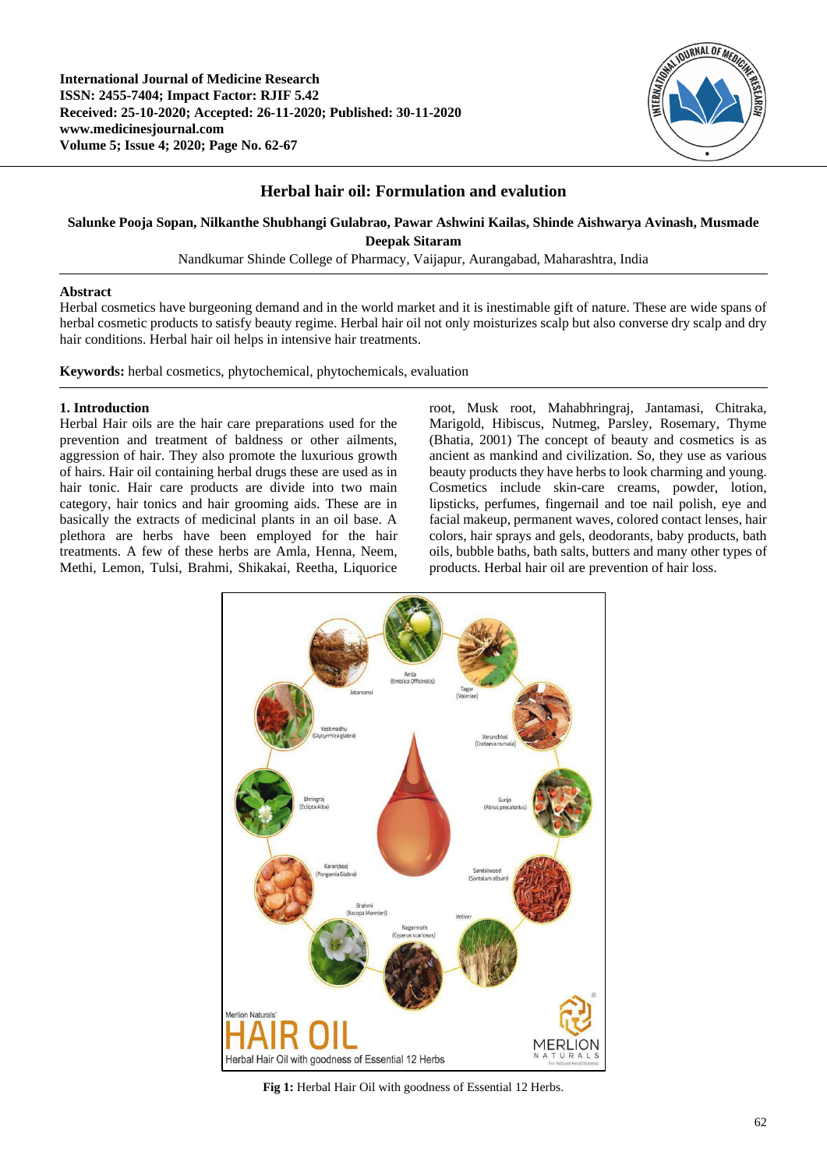

# **Herbal hair oil: Formulation and evalution**

**Salunke Pooja Sopan, Nilkanthe Shubhangi Gulabrao, Pawar Ashwini Kailas, Shinde Aishwarya Avinash, Musmade Deepak Sitaram**

Nandkumar Shinde College of Pharmacy, Vaijapur, Aurangabad, Maharashtra, India

### **Abstract**

Herbal cosmetics have burgeoning demand and in the world market and it is inestimable gift of nature. These are wide spans of herbal cosmetic products to satisfy beauty regime. Herbal hair oil not only moisturizes scalp but also converse dry scalp and dry hair conditions. Herbal hair oil helps in intensive hair treatments.

**Keywords:** herbal cosmetics, phytochemical, phytochemicals, evaluation

## **1. Introduction**

Herbal Hair oils are the hair care preparations used for the prevention and treatment of baldness or other ailments, aggression of hair. They also promote the luxurious growth of hairs. Hair oil containing herbal drugs these are used as in hair tonic. Hair care products are divide into two main category, hair tonics and hair grooming aids. These are in basically the extracts of medicinal plants in an oil base. A plethora are herbs have been employed for the hair treatments. A few of these herbs are Amla, Henna, Neem, Methi, Lemon, Tulsi, Brahmi, Shikakai, Reetha, Liquorice root, Musk root, Mahabhringraj, Jantamasi, Chitraka, Marigold, Hibiscus, Nutmeg, Parsley, Rosemary, Thyme (Bhatia, 2001) The concept of beauty and cosmetics is as ancient as mankind and civilization. So, they use as various beauty products they have herbs to look charming and young. Cosmetics include skin-care creams, powder, lotion, lipsticks, perfumes, fingernail and toe nail polish, eye and facial makeup, permanent waves, colored contact lenses, hair colors, hair sprays and gels, deodorants, baby products, bath oils, bubble baths, bath salts, butters and many other types of products. Herbal hair oil are prevention of hair loss.



**Fig 1:** Herbal Hair Oil with goodness of Essential 12 Herbs.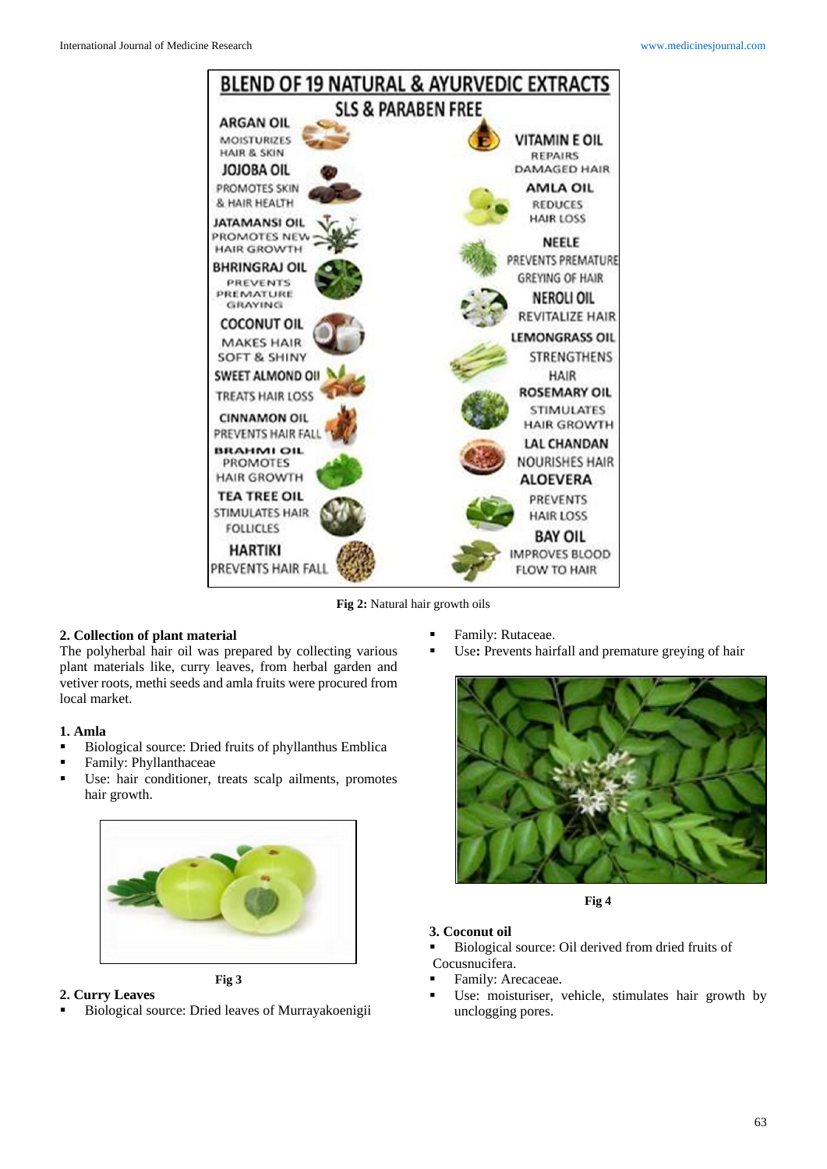

**Fig 2:** Natural hair growth oils

# **2. Collection of plant material**

The polyherbal hair oil was prepared by collecting various plant materials like, curry leaves, from herbal garden and vetiver roots, methi seeds and amla fruits were procured from local market.

### **1. Amla**

- Biological source: Dried fruits of phyllanthus Emblica
- Family: Phyllanthaceae
- Use: hair conditioner, treats scalp ailments, promotes hair growth.





Biological source: Dried leaves of Murrayakoenigii

- Family: Rutaceae.
- Use**:** Prevents hairfall and premature greying of hair



**Fig 4**

# **3. Coconut oil**

 Biological source: Oil derived from dried fruits of Cocusnucifera.

- Family: Arecaceae.
- Use: moisturiser, vehicle, stimulates hair growth by unclogging pores.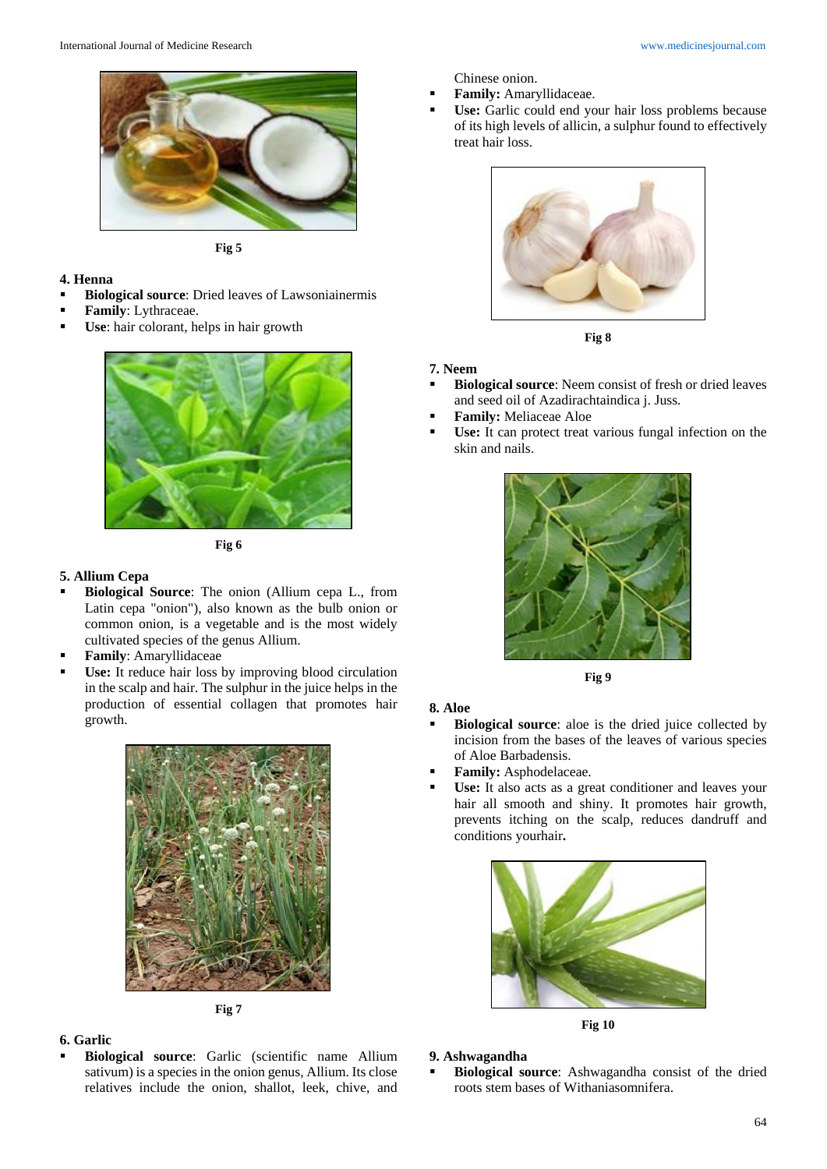

**Fig 5**

#### **4. Henna**

- **Biological source**: Dried leaves of Lawsoniainermis
- **Family**: Lythraceae.
- **Use**: hair colorant, helps in hair growth



**Fig 6**

#### **5. Allium Cepa**

- **Biological Source**: The onion (Allium cepa L., from Latin cepa "onion"), also known as the bulb onion or common onion, is a vegetable and is the most widely cultivated species of the genus Allium.
- **Family**: Amaryllidaceae
- **Use:** It reduce hair loss by improving blood circulation in the scalp and hair. The sulphur in the juice helps in the production of essential collagen that promotes hair growth.





# **6. Garlic**

 **Biological source**: Garlic (scientific name Allium sativum) is a species in the onion genus, Allium. Its close relatives include the onion, shallot, leek, chive, and Chinese onion.

- **Family:** Amaryllidaceae.
- **Use:** Garlic could end your hair loss problems because of its high levels of allicin, a sulphur found to effectively treat hair loss.



**Fig 8**

#### **7. Neem**

- **Biological source**: Neem consist of fresh or dried leaves and seed oil of Azadirachtaindica j. Juss.
- **Family:** Meliaceae Aloe
- **Use:** It can protect treat various fungal infection on the skin and nails.



**Fig 9**

#### **8. Aloe**

- **Biological source**: aloe is the dried juice collected by incision from the bases of the leaves of various species of Aloe Barbadensis.
- **Family:** Asphodelaceae.
- **Use:** It also acts as a great conditioner and leaves your hair all smooth and shiny. It promotes hair growth, prevents itching on the scalp, reduces dandruff and conditions yourhair**.**



**Fig 10**

#### **9. Ashwagandha**

 **Biological source**: Ashwagandha consist of the dried roots stem bases of Withaniasomnifera.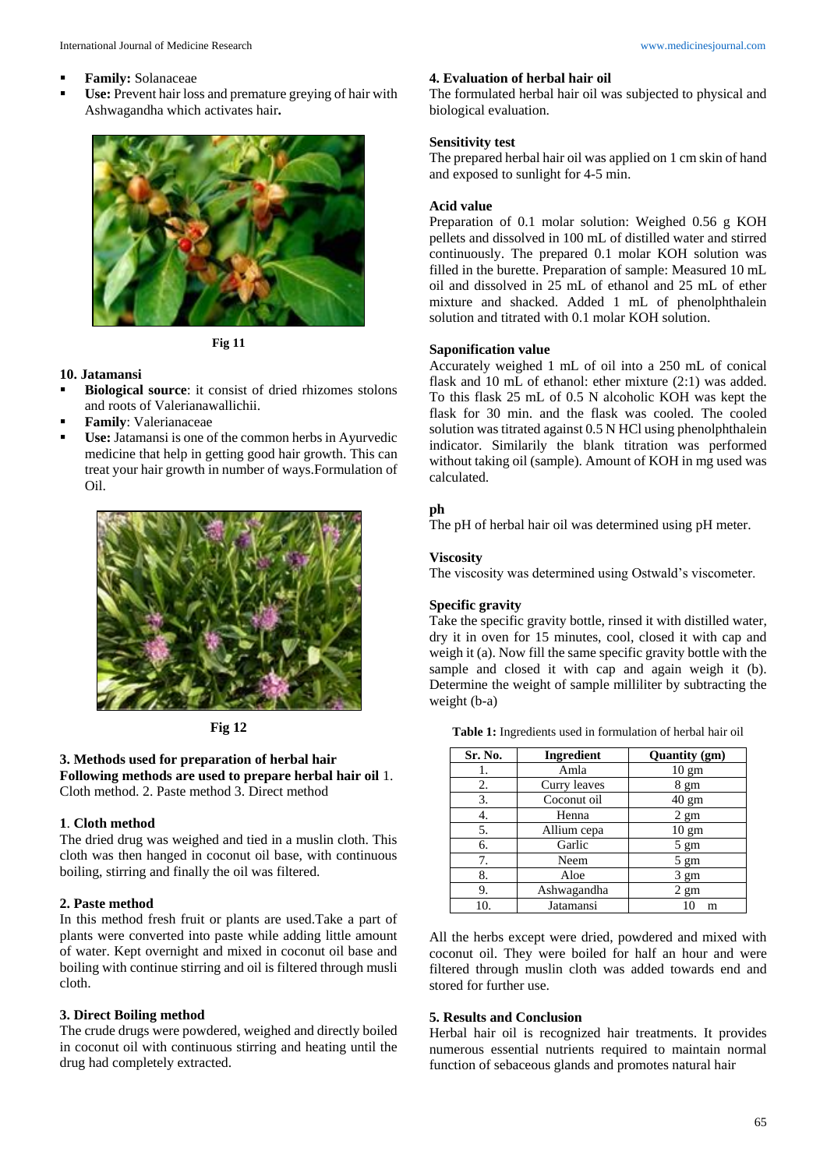- **Family:** Solanaceae
- **Use:** Prevent hair loss and premature greying of hair with Ashwagandha which activates hair**.**



**Fig 11**

### **10. Jatamansi**

- **Biological source**: it consist of dried rhizomes stolons and roots of Valerianawallichii.
- **Family**: Valerianaceae
- **Use:** Jatamansi is one of the common herbs in Ayurvedic medicine that help in getting good hair growth. This can treat your hair growth in number of ways.Formulation of Oil.



**Fig 12**

### **3. Methods used for preparation of herbal hair Following methods are used to prepare herbal hair oil** 1. Cloth method. 2. Paste method 3. Direct method

# **1**. **Cloth method**

The dried drug was weighed and tied in a muslin cloth. This cloth was then hanged in coconut oil base, with continuous boiling, stirring and finally the oil was filtered.

# **2. Paste method**

In this method fresh fruit or plants are used.Take a part of plants were converted into paste while adding little amount of water. Kept overnight and mixed in coconut oil base and boiling with continue stirring and oil is filtered through musli cloth.

# **3. Direct Boiling method**

The crude drugs were powdered, weighed and directly boiled in coconut oil with continuous stirring and heating until the drug had completely extracted.

# **4. Evaluation of herbal hair oil**

The formulated herbal hair oil was subjected to physical and biological evaluation.

### **Sensitivity test**

The prepared herbal hair oil was applied on 1 cm skin of hand and exposed to sunlight for 4-5 min.

### **Acid value**

Preparation of 0.1 molar solution: Weighed 0.56 g KOH pellets and dissolved in 100 mL of distilled water and stirred continuously. The prepared 0.1 molar KOH solution was filled in the burette. Preparation of sample: Measured 10 mL oil and dissolved in 25 mL of ethanol and 25 mL of ether mixture and shacked. Added 1 mL of phenolphthalein solution and titrated with 0.1 molar KOH solution.

### **Saponification value**

Accurately weighed 1 mL of oil into a 250 mL of conical flask and 10 mL of ethanol: ether mixture (2:1) was added. To this flask 25 mL of 0.5 N alcoholic KOH was kept the flask for 30 min. and the flask was cooled. The cooled solution was titrated against 0.5 N HCl using phenolphthalein indicator. Similarily the blank titration was performed without taking oil (sample). Amount of KOH in mg used was calculated.

## **ph**

The pH of herbal hair oil was determined using pH meter.

### **Viscosity**

The viscosity was determined using Ostwald's viscometer.

### **Specific gravity**

Take the specific gravity bottle, rinsed it with distilled water, dry it in oven for 15 minutes, cool, closed it with cap and weigh it (a). Now fill the same specific gravity bottle with the sample and closed it with cap and again weigh it (b). Determine the weight of sample milliliter by subtracting the weight (b-a)

| Table 1: Ingredients used in formulation of herbal hair oil |  |  |  |  |
|-------------------------------------------------------------|--|--|--|--|
|-------------------------------------------------------------|--|--|--|--|

| Sr. No. | Ingredient   | Quantity (gm)   |
|---------|--------------|-----------------|
| 1.      | Amla         | $10 \text{ gm}$ |
| 2.      | Curry leaves | 8 gm            |
| 3.      | Coconut oil  | 40 gm           |
| 4.      | Henna        | $2 \text{ gm}$  |
| 5.      | Allium cepa  | $10 \text{ gm}$ |
| 6.      | Garlic       | $5 \text{ gm}$  |
| 7.      | Neem         | $5 \text{ gm}$  |
| 8.      | Aloe         | 3 gm            |
| 9.      | Ashwagandha  | $2 \text{ gm}$  |
| 10.     | Jatamansi    | m               |

All the herbs except were dried, powdered and mixed with coconut oil. They were boiled for half an hour and were filtered through muslin cloth was added towards end and stored for further use.

#### **5. Results and Conclusion**

Herbal hair oil is recognized hair treatments. It provides numerous essential nutrients required to maintain normal function of sebaceous glands and promotes natural hair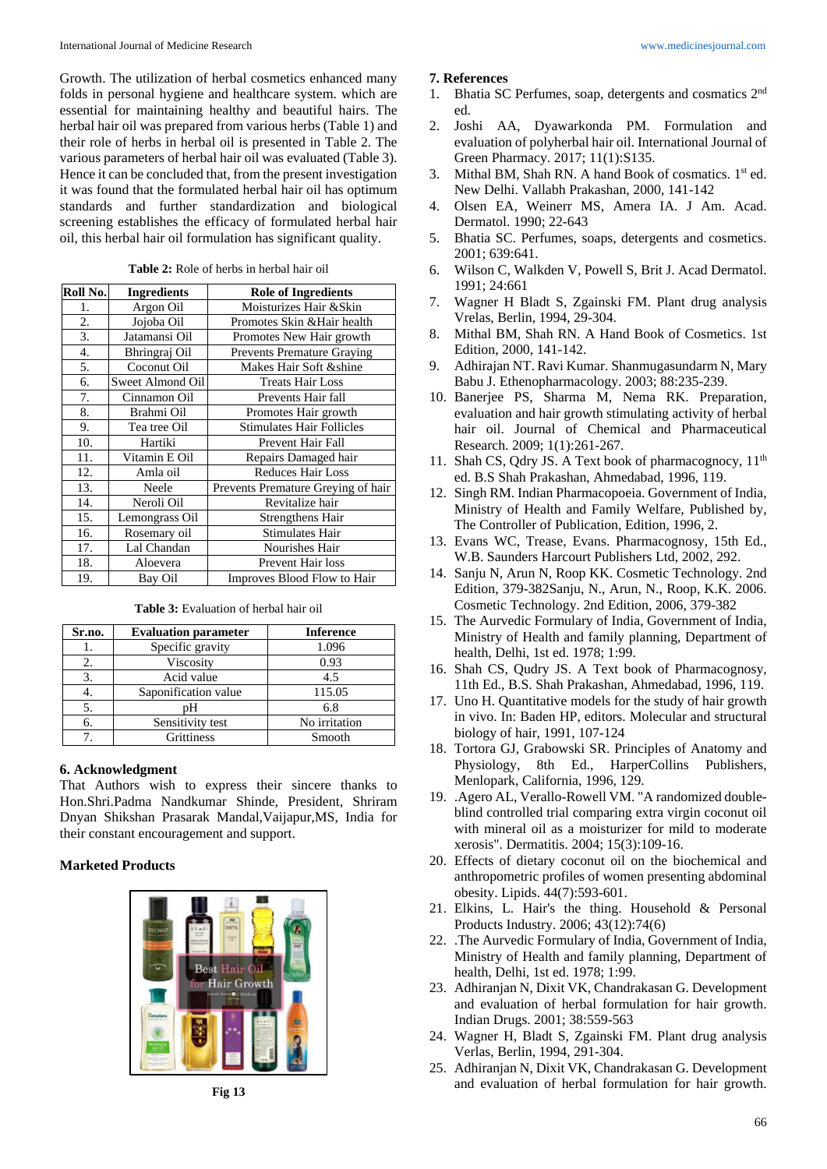Growth. The utilization of herbal cosmetics enhanced many folds in personal hygiene and healthcare system. which are essential for maintaining healthy and beautiful hairs. The herbal hair oil was prepared from various herbs (Table 1) and their role of herbs in herbal oil is presented in Table 2. The various parameters of herbal hair oil was evaluated (Table 3). Hence it can be concluded that, from the present investigation it was found that the formulated herbal hair oil has optimum standards and further standardization and biological screening establishes the efficacy of formulated herbal hair oil, this herbal hair oil formulation has significant quality.

| Roll No. | <b>Ingredients</b> | <b>Role of Ingredients</b>         |
|----------|--------------------|------------------------------------|
| 1.       | Argon Oil          | Moisturizes Hair & Skin            |
| 2.       | Jojoba Oil         | Promotes Skin & Hair health        |
| 3.       | Jatamansi Oil      | Promotes New Hair growth           |
| 4.       | Bhringraj Oil      | <b>Prevents Premature Graying</b>  |
| 5.       | Coconut Oil        | Makes Hair Soft &shine             |
| 6.       | Sweet Almond Oil   | <b>Treats Hair Loss</b>            |
| 7.       | Cinnamon Oil       | Prevents Hair fall                 |
| 8.       | Brahmi Oil         | Promotes Hair growth               |
| 9.       | Tea tree Oil       | <b>Stimulates Hair Follicles</b>   |
| 10.      | Hartiki            | Prevent Hair Fall                  |
| 11.      | Vitamin E Oil      | Repairs Damaged hair               |
| 12.      | Amla oil           | Reduces Hair Loss                  |
| 13.      | Neele              | Prevents Premature Greying of hair |
| 14.      | Neroli Oil         | Revitalize hair                    |
| 15.      | Lemongrass Oil     | Strengthens Hair                   |
| 16.      | Rosemary oil       | Stimulates Hair                    |
| 17.      | Lal Chandan        | Nourishes Hair                     |
| 18.      | Aloevera           | Prevent Hair loss                  |
| 19.      | Bay Oil            | Improves Blood Flow to Hair        |

### **Table 2:** Role of herbs in herbal hair oil

#### **Table 3:** Evaluation of herbal hair oil

| Sr.no. | <b>Evaluation parameter</b> | <b>Inference</b> |
|--------|-----------------------------|------------------|
|        | Specific gravity            | 1.096            |
| 2.     | Viscosity                   | 0.93             |
| 3.     | Acid value                  | 4.5              |
|        | Saponification value        | 115.05           |
| 5.     | pН                          | 6.8              |
| 6.     | Sensitivity test            | No irritation    |
|        | <b>Grittiness</b>           | Smooth           |

#### **6. Acknowledgment**

That Authors wish to express their sincere thanks to Hon.Shri.Padma Nandkumar Shinde, President, Shriram Dnyan Shikshan Prasarak Mandal,Vaijapur,MS, India for their constant encouragement and support.

#### **Marketed Products**



#### **7. References**

- 1. Bhatia SC Perfumes, soap, detergents and cosmatics 2<sup>nd</sup> ed.
- 2. Joshi AA, Dyawarkonda PM. Formulation and evaluation of polyherbal hair oil. International Journal of Green Pharmacy. 2017; 11(1):S135.
- 3. Mithal BM, Shah RN. A hand Book of cosmatics. 1st ed. New Delhi. Vallabh Prakashan, 2000, 141-142
- 4. Olsen EA, Weinerr MS, Amera IA. J Am. Acad. Dermatol. 1990; 22-643
- 5. Bhatia SC. Perfumes, soaps, detergents and cosmetics. 2001; 639:641.
- 6. Wilson C, Walkden V, Powell S, Brit J. Acad Dermatol. 1991; 24:661
- 7. Wagner H Bladt S, Zgainski FM. Plant drug analysis Vrelas, Berlin, 1994, 29-304.
- 8. Mithal BM, Shah RN. A Hand Book of Cosmetics. 1st Edition, 2000, 141-142.
- 9. Adhirajan NT. Ravi Kumar. Shanmugasundarm N, Mary Babu J. Ethenopharmacology. 2003; 88:235-239.
- 10. Banerjee PS, Sharma M, Nema RK. Preparation, evaluation and hair growth stimulating activity of herbal hair oil. Journal of Chemical and Pharmaceutical Research. 2009; 1(1):261-267.
- 11. Shah CS, Qdry JS. A Text book of pharmacognocy,  $11<sup>th</sup>$ ed. B.S Shah Prakashan, Ahmedabad, 1996, 119.
- 12. Singh RM. Indian Pharmacopoeia. Government of India, Ministry of Health and Family Welfare, Published by, The Controller of Publication, Edition, 1996, 2.
- 13. Evans WC, Trease, Evans. Pharmacognosy, 15th Ed., W.B. Saunders Harcourt Publishers Ltd, 2002, 292.
- 14. Sanju N, Arun N, Roop KK. Cosmetic Technology. 2nd Edition, 379-382Sanju, N., Arun, N., Roop, K.K. 2006. Cosmetic Technology. 2nd Edition, 2006, 379-382
- 15. The Aurvedic Formulary of India, Government of India, Ministry of Health and family planning, Department of health, Delhi, 1st ed. 1978; 1:99.
- 16. Shah CS, Qudry JS. A Text book of Pharmacognosy, 11th Ed., B.S. Shah Prakashan, Ahmedabad, 1996, 119.
- 17. Uno H. Quantitative models for the study of hair growth in vivo. In: Baden HP, editors. Molecular and structural biology of hair, 1991, 107-124
- 18. Tortora GJ, Grabowski SR. Principles of Anatomy and Physiology, 8th Ed., HarperCollins Publishers, Menlopark, California, 1996, 129.
- 19. .Agero AL, Verallo-Rowell VM. "A randomized doubleblind controlled trial comparing extra virgin coconut oil with mineral oil as a moisturizer for mild to moderate xerosis". Dermatitis. 2004; 15(3):109-16.
- 20. Effects of dietary coconut oil on the biochemical and anthropometric profiles of women presenting abdominal obesity. Lipids. 44(7):593-601.
- 21. Elkins, L. Hair's the thing. Household & Personal Products Industry. 2006; 43(12):74(6)
- 22. .The Aurvedic Formulary of India, Government of India, Ministry of Health and family planning, Department of health, Delhi, 1st ed. 1978; 1:99.
- 23. Adhiranjan N, Dixit VK, Chandrakasan G. Development and evaluation of herbal formulation for hair growth. Indian Drugs. 2001; 38:559-563
- 24. Wagner H, Bladt S, Zgainski FM. Plant drug analysis Verlas, Berlin, 1994, 291-304.
- 25. Adhiranjan N, Dixit VK, Chandrakasan G. Development and evaluation of herbal formulation for hair growth.